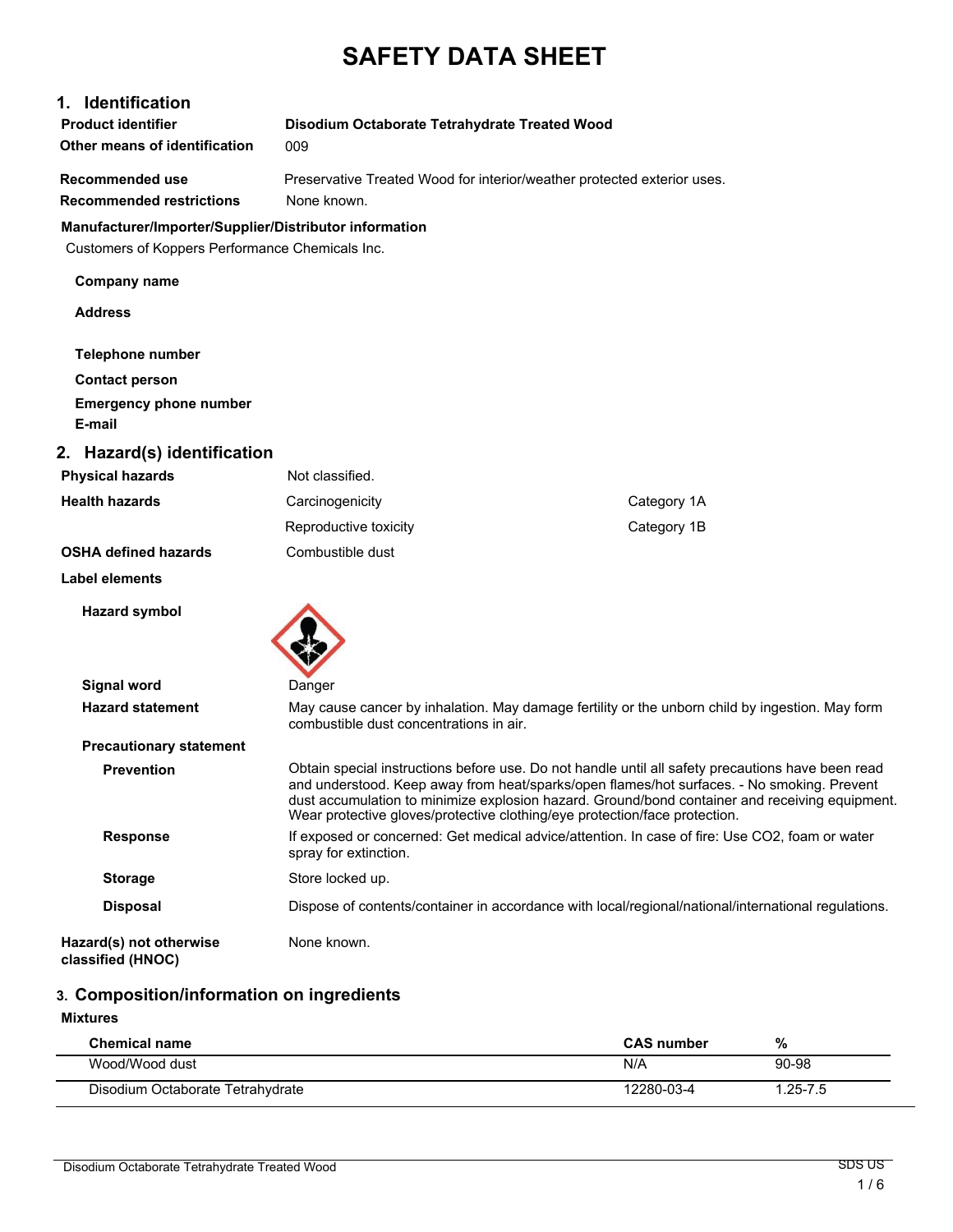# **SAFETY DATA SHEET**

### **1. Identification**

| <b>Product identifier</b>     | Disodium Octaborate Tetrahydrate Treated Wood |
|-------------------------------|-----------------------------------------------|
| Other means of identification | 009                                           |
|                               |                                               |

**Recommended restrictions** None known.

**Recommended use Preservative Treated Wood for interior/weather protected exterior uses.** 

### **Manufacturer/Importer/Supplier/Distributor information**

Customers of Koppers Performance Chemicals Inc.

| $\sim$ $\sim$ $\sim$ $\sim$ $\sim$ $\sim$ |                       |             |
|-------------------------------------------|-----------------------|-------------|
| <b>Company name</b>                       |                       |             |
| <b>Address</b>                            |                       |             |
| <b>Telephone number</b>                   |                       |             |
| <b>Contact person</b>                     |                       |             |
| <b>Emergency phone number</b>             |                       |             |
| E-mail                                    |                       |             |
| 2. Hazard(s) identification               |                       |             |
| <b>Physical hazards</b>                   | Not classified.       |             |
| <b>Health hazards</b>                     | Carcinogenicity       | Category 1A |
|                                           | Reproductive toxicity | Category 1B |
| <b>OSHA defined hazards</b>               | Combustible dust      |             |
| <b>Label elements</b>                     |                       |             |
| <b>Hazard symbol</b>                      |                       |             |

**Signal word** Danger **Hazard statement** May cause cancer by inhalation. May damage fertility or the unborn child by ingestion. May form combustible dust concentrations in air. **Precautionary statement Prevention** Obtain special instructions before use. Do not handle until all safety precautions have been read and understood. Keep away from heat/sparks/open flames/hot surfaces. - No smoking. Prevent dust accumulation to minimize explosion hazard. Ground/bond container and receiving equipment. Wear protective gloves/protective clothing/eye protection/face protection.

**Response** If exposed or concerned: Get medical advice/attention. In case of fire: Use CO2, foam or water spray for extinction. **Storage** Store locked up. **Disposal** Dispose of contents/container in accordance with local/regional/national/international regulations.

**Hazard(s) not otherwise** None known.

**classified (HNOC)**

### **3. Composition/information on ingredients**

#### **Mixtures**

| <b>Chemical name</b>             | <b>CAS</b> number | %           |  |
|----------------------------------|-------------------|-------------|--|
| Wood/Wood dust                   | N/A               | 90-98       |  |
| Disodium Octaborate Tetrahydrate | 12280-03-4        | $.25 - 7.5$ |  |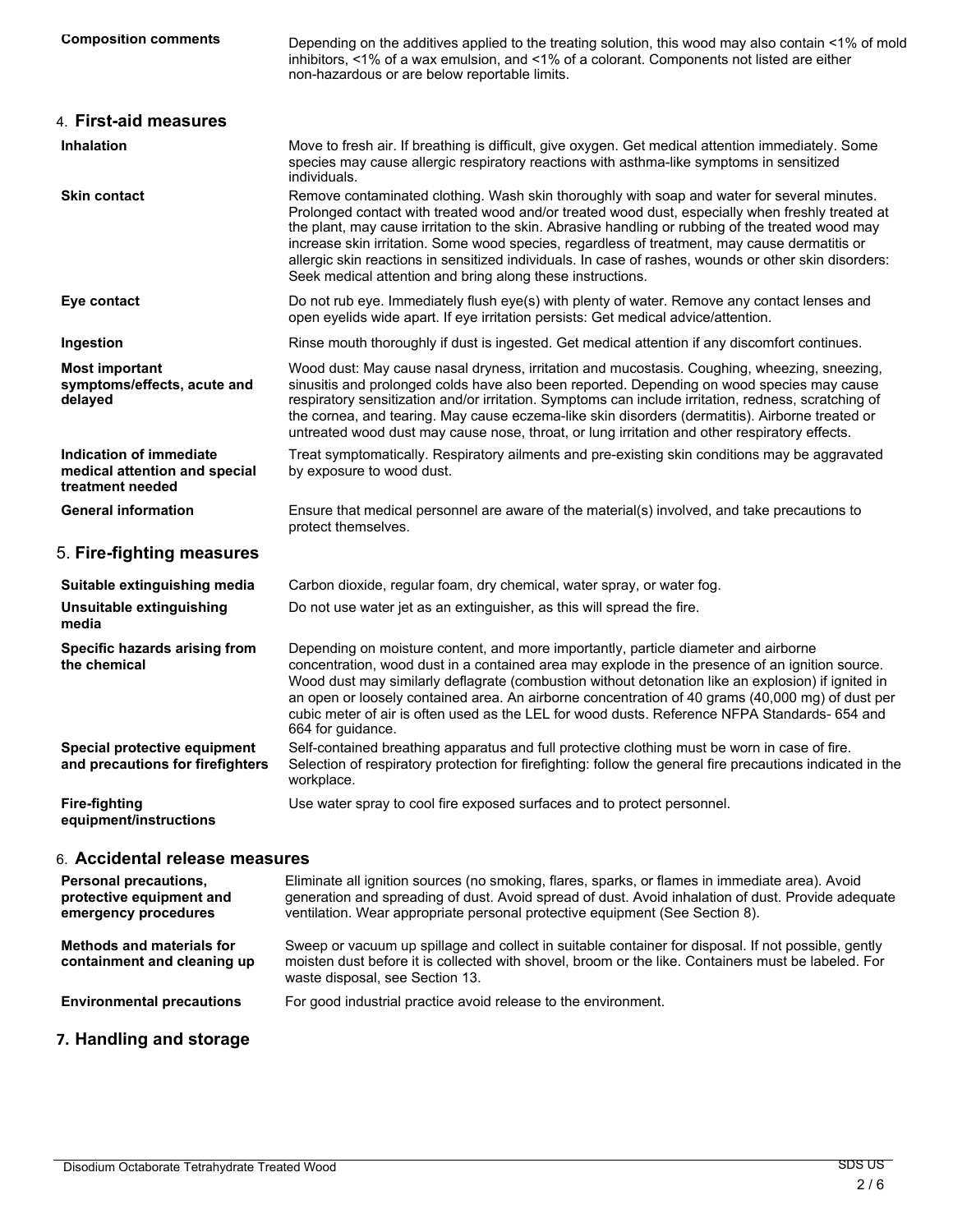| <b>Composition comments</b>                                                  | Depending on the additives applied to the treating solution, this wood may also contain <1% of mold<br>inhibitors, <1% of a wax emulsion, and <1% of a colorant. Components not listed are either<br>non-hazardous or are below reportable limits.                                                                                                                                                                                                                                                                                                                           |
|------------------------------------------------------------------------------|------------------------------------------------------------------------------------------------------------------------------------------------------------------------------------------------------------------------------------------------------------------------------------------------------------------------------------------------------------------------------------------------------------------------------------------------------------------------------------------------------------------------------------------------------------------------------|
| 4. First-aid measures                                                        |                                                                                                                                                                                                                                                                                                                                                                                                                                                                                                                                                                              |
| <b>Inhalation</b>                                                            | Move to fresh air. If breathing is difficult, give oxygen. Get medical attention immediately. Some<br>species may cause allergic respiratory reactions with asthma-like symptoms in sensitized<br>individuals.                                                                                                                                                                                                                                                                                                                                                               |
| <b>Skin contact</b>                                                          | Remove contaminated clothing. Wash skin thoroughly with soap and water for several minutes.<br>Prolonged contact with treated wood and/or treated wood dust, especially when freshly treated at<br>the plant, may cause irritation to the skin. Abrasive handling or rubbing of the treated wood may<br>increase skin irritation. Some wood species, regardless of treatment, may cause dermatitis or<br>allergic skin reactions in sensitized individuals. In case of rashes, wounds or other skin disorders:<br>Seek medical attention and bring along these instructions. |
| Eye contact                                                                  | Do not rub eye. Immediately flush eye(s) with plenty of water. Remove any contact lenses and<br>open eyelids wide apart. If eye irritation persists: Get medical advice/attention.                                                                                                                                                                                                                                                                                                                                                                                           |
| Ingestion                                                                    | Rinse mouth thoroughly if dust is ingested. Get medical attention if any discomfort continues.                                                                                                                                                                                                                                                                                                                                                                                                                                                                               |
| <b>Most important</b><br>symptoms/effects, acute and<br>delayed              | Wood dust: May cause nasal dryness, irritation and mucostasis. Coughing, wheezing, sneezing,<br>sinusitis and prolonged colds have also been reported. Depending on wood species may cause<br>respiratory sensitization and/or irritation. Symptoms can include irritation, redness, scratching of<br>the cornea, and tearing. May cause eczema-like skin disorders (dermatitis). Airborne treated or<br>untreated wood dust may cause nose, throat, or lung irritation and other respiratory effects.                                                                       |
| Indication of immediate<br>medical attention and special<br>treatment needed | Treat symptomatically. Respiratory ailments and pre-existing skin conditions may be aggravated<br>by exposure to wood dust.                                                                                                                                                                                                                                                                                                                                                                                                                                                  |
| <b>General information</b>                                                   | Ensure that medical personnel are aware of the material(s) involved, and take precautions to<br>protect themselves.                                                                                                                                                                                                                                                                                                                                                                                                                                                          |
| 5. Fire-fighting measures                                                    |                                                                                                                                                                                                                                                                                                                                                                                                                                                                                                                                                                              |
| Suitable extinguishing media                                                 | Carbon dioxide, regular foam, dry chemical, water spray, or water fog.                                                                                                                                                                                                                                                                                                                                                                                                                                                                                                       |
| Unsuitable extinguishing<br>media                                            | Do not use water jet as an extinguisher, as this will spread the fire.                                                                                                                                                                                                                                                                                                                                                                                                                                                                                                       |
| Specific hazards arising from<br>the chemical                                | Depending on moisture content, and more importantly, particle diameter and airborne<br>concentration, wood dust in a contained area may explode in the presence of an ignition source.<br>Wood dust may similarly deflagrate (combustion without detonation like an explosion) if ignited in<br>an open or loosely contained area. An airborne concentration of 40 grams (40,000 mg) of dust per<br>cubic meter of air is often used as the LEL for wood dusts. Reference NFPA Standards- 654 and<br>664 for guidance.                                                       |
| Special protective equipment<br>and precautions for firefighters             | Self-contained breathing apparatus and full protective clothing must be worn in case of fire.<br>Selection of respiratory protection for firefighting: follow the general fire precautions indicated in the<br>workplace.                                                                                                                                                                                                                                                                                                                                                    |
| <b>Fire-fighting</b><br>equipment/instructions                               | Use water spray to cool fire exposed surfaces and to protect personnel.                                                                                                                                                                                                                                                                                                                                                                                                                                                                                                      |
| 6. Accidental release measures                                               |                                                                                                                                                                                                                                                                                                                                                                                                                                                                                                                                                                              |
| Personal precautions,<br>protective equipment and<br>emergency procedures    | Eliminate all ignition sources (no smoking, flares, sparks, or flames in immediate area). Avoid<br>generation and spreading of dust. Avoid spread of dust. Avoid inhalation of dust. Provide adequate<br>ventilation. Wear appropriate personal protective equipment (See Section 8).                                                                                                                                                                                                                                                                                        |
| <b>Methods and materials for</b><br>containment and cleaning up              | Sweep or vacuum up spillage and collect in suitable container for disposal. If not possible, gently<br>moisten dust before it is collected with shovel, broom or the like. Containers must be labeled. For<br>waste disposal, see Section 13.                                                                                                                                                                                                                                                                                                                                |

**Environmental precautions** For good industrial practice avoid release to the environment.

# **7. Handling and storage**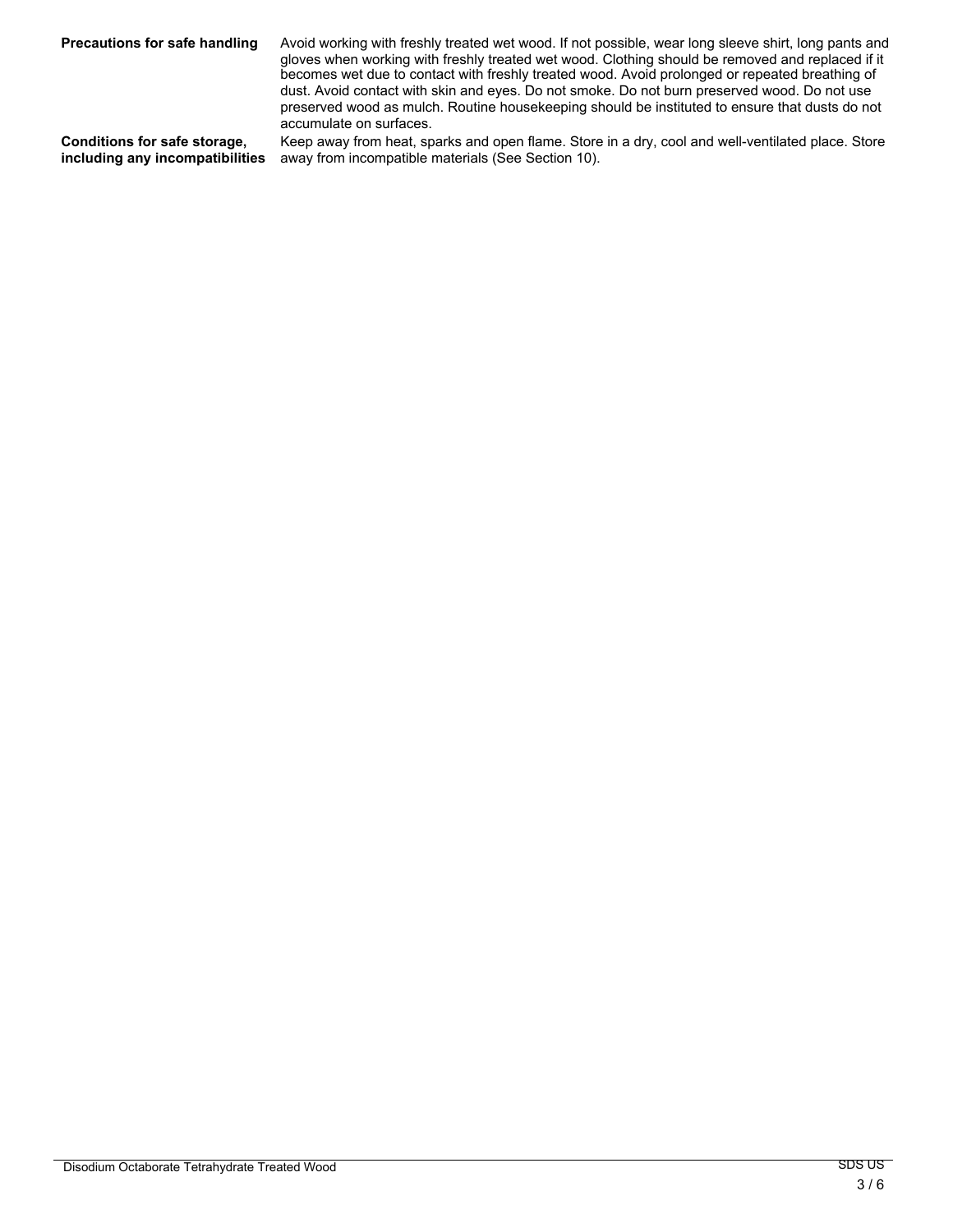Precautions for safe handling Avoid working with freshly treated wet wood. If not possible, wear long sleeve shirt, long pants and gloves when working with freshly treated wet wood. Clothing should be removed and replaced if it becomes wet due to contact with freshly treated wood. Avoid prolonged or repeated breathing of dust. Avoid contact with skin and eyes. Do not smoke. Do not burn preserved wood. Do not use preserved wood as mulch. Routine housekeeping should be instituted to ensure that dusts do not accumulate on surfaces.

**Conditions for safe storage, including any incompatibilities** Keep away from heat, sparks and open flame. Store in a dry, cool and well-ventilated place. Store away from incompatible materials (See Section 10).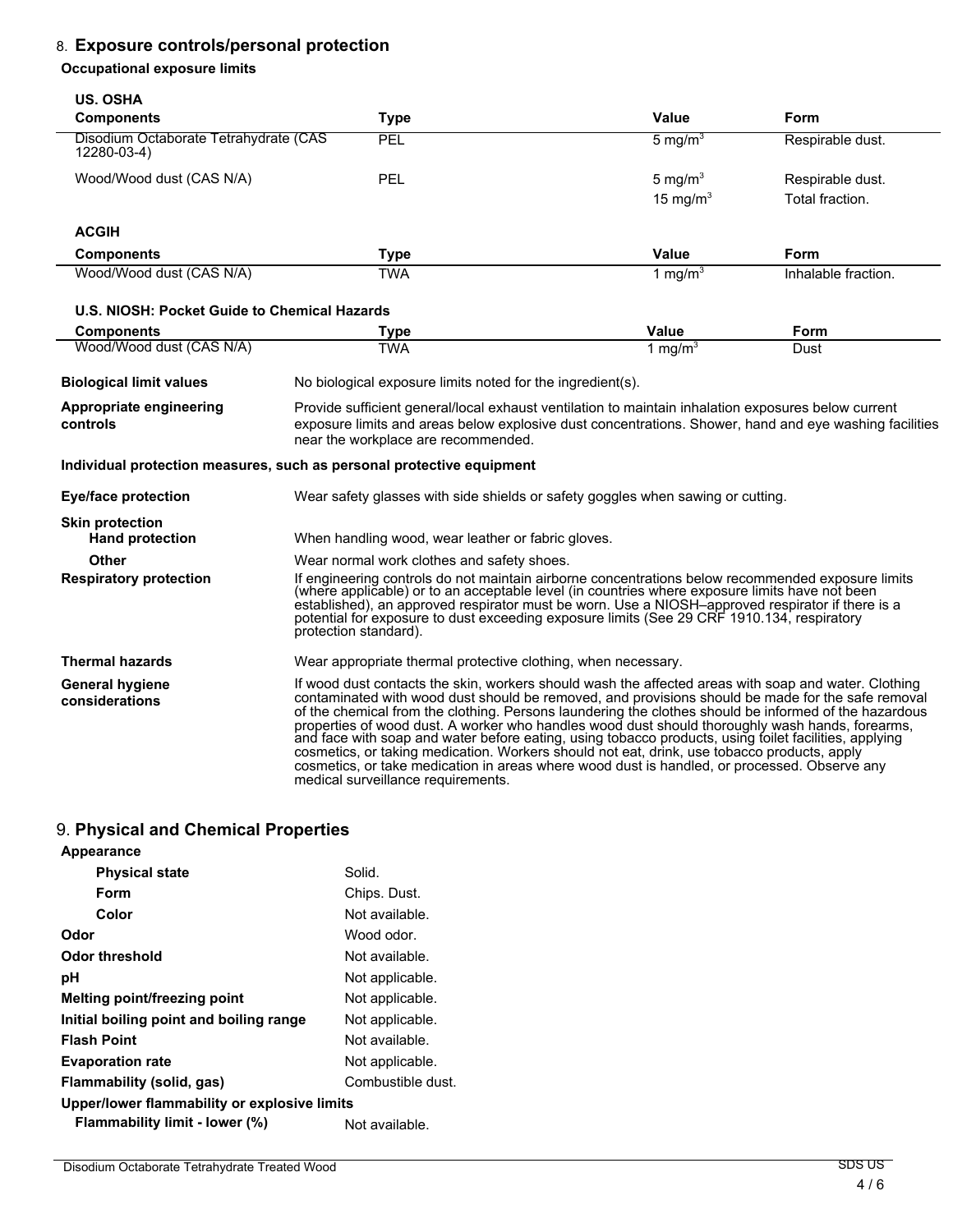# 8. **Exposure controls/personal protection**

#### **Occupational exposure limits**

| <b>US. OSHA</b>                                      |                                                                                                                                                                                                                                                                                                                                                                                                                                |                                                                                                                                                                                                                                                                                                                                                                                                                                                                                                                                                                                                                                                                                                                               |                     |
|------------------------------------------------------|--------------------------------------------------------------------------------------------------------------------------------------------------------------------------------------------------------------------------------------------------------------------------------------------------------------------------------------------------------------------------------------------------------------------------------|-------------------------------------------------------------------------------------------------------------------------------------------------------------------------------------------------------------------------------------------------------------------------------------------------------------------------------------------------------------------------------------------------------------------------------------------------------------------------------------------------------------------------------------------------------------------------------------------------------------------------------------------------------------------------------------------------------------------------------|---------------------|
| <b>Components</b>                                    | <b>Type</b>                                                                                                                                                                                                                                                                                                                                                                                                                    | Value                                                                                                                                                                                                                                                                                                                                                                                                                                                                                                                                                                                                                                                                                                                         | <b>Form</b>         |
| Disodium Octaborate Tetrahydrate (CAS<br>12280-03-4) | PEL                                                                                                                                                                                                                                                                                                                                                                                                                            | 5 mg/m $3$                                                                                                                                                                                                                                                                                                                                                                                                                                                                                                                                                                                                                                                                                                                    | Respirable dust.    |
| Wood/Wood dust (CAS N/A)                             | PEL                                                                                                                                                                                                                                                                                                                                                                                                                            | 5 mg/ $m3$                                                                                                                                                                                                                                                                                                                                                                                                                                                                                                                                                                                                                                                                                                                    | Respirable dust.    |
|                                                      |                                                                                                                                                                                                                                                                                                                                                                                                                                | 15 mg/m $3$                                                                                                                                                                                                                                                                                                                                                                                                                                                                                                                                                                                                                                                                                                                   | Total fraction.     |
| <b>ACGIH</b>                                         |                                                                                                                                                                                                                                                                                                                                                                                                                                |                                                                                                                                                                                                                                                                                                                                                                                                                                                                                                                                                                                                                                                                                                                               |                     |
| <b>Components</b>                                    | <b>Type</b>                                                                                                                                                                                                                                                                                                                                                                                                                    | <b>Value</b>                                                                                                                                                                                                                                                                                                                                                                                                                                                                                                                                                                                                                                                                                                                  | Form                |
| Wood/Wood dust (CAS N/A)                             | <b>TWA</b>                                                                                                                                                                                                                                                                                                                                                                                                                     | 1 mg/m <sup>3</sup>                                                                                                                                                                                                                                                                                                                                                                                                                                                                                                                                                                                                                                                                                                           | Inhalable fraction. |
| U.S. NIOSH: Pocket Guide to Chemical Hazards         |                                                                                                                                                                                                                                                                                                                                                                                                                                |                                                                                                                                                                                                                                                                                                                                                                                                                                                                                                                                                                                                                                                                                                                               |                     |
| <b>Components</b>                                    | <b>Type</b>                                                                                                                                                                                                                                                                                                                                                                                                                    | Value                                                                                                                                                                                                                                                                                                                                                                                                                                                                                                                                                                                                                                                                                                                         | Form                |
| Wood/Wood dust (CAS N/A)                             | <b>TWA</b>                                                                                                                                                                                                                                                                                                                                                                                                                     | 1 mg/m <sup>3</sup>                                                                                                                                                                                                                                                                                                                                                                                                                                                                                                                                                                                                                                                                                                           | Dust                |
| <b>Biological limit values</b>                       | No biological exposure limits noted for the ingredient(s).                                                                                                                                                                                                                                                                                                                                                                     |                                                                                                                                                                                                                                                                                                                                                                                                                                                                                                                                                                                                                                                                                                                               |                     |
| Appropriate engineering<br>controls                  | Provide sufficient general/local exhaust ventilation to maintain inhalation exposures below current<br>exposure limits and areas below explosive dust concentrations. Shower, hand and eye washing facilities<br>near the workplace are recommended.                                                                                                                                                                           |                                                                                                                                                                                                                                                                                                                                                                                                                                                                                                                                                                                                                                                                                                                               |                     |
|                                                      | Individual protection measures, such as personal protective equipment                                                                                                                                                                                                                                                                                                                                                          |                                                                                                                                                                                                                                                                                                                                                                                                                                                                                                                                                                                                                                                                                                                               |                     |
| <b>Eye/face protection</b>                           | Wear safety glasses with side shields or safety goggles when sawing or cutting.                                                                                                                                                                                                                                                                                                                                                |                                                                                                                                                                                                                                                                                                                                                                                                                                                                                                                                                                                                                                                                                                                               |                     |
| <b>Skin protection</b><br><b>Hand protection</b>     | When handling wood, wear leather or fabric gloves.                                                                                                                                                                                                                                                                                                                                                                             |                                                                                                                                                                                                                                                                                                                                                                                                                                                                                                                                                                                                                                                                                                                               |                     |
| Other                                                | Wear normal work clothes and safety shoes.                                                                                                                                                                                                                                                                                                                                                                                     |                                                                                                                                                                                                                                                                                                                                                                                                                                                                                                                                                                                                                                                                                                                               |                     |
| <b>Respiratory protection</b>                        | If engineering controls do not maintain airborne concentrations below recommended exposure limits<br>(where applicable) or to an acceptable level (in countries where exposure limits have not been<br>established), an approved respirator must be worn. Use a NIOSH-approved respirator if there is a<br>potential for exposure to dust exceeding exposure limits (See 29 CRF 1910.134, respiratory<br>protection standard). |                                                                                                                                                                                                                                                                                                                                                                                                                                                                                                                                                                                                                                                                                                                               |                     |
| <b>Thermal hazards</b>                               | Wear appropriate thermal protective clothing, when necessary.                                                                                                                                                                                                                                                                                                                                                                  |                                                                                                                                                                                                                                                                                                                                                                                                                                                                                                                                                                                                                                                                                                                               |                     |
| <b>General hygiene</b><br>considerations             | medical surveillance requirements.                                                                                                                                                                                                                                                                                                                                                                                             | If wood dust contacts the skin, workers should wash the affected areas with soap and water. Clothing<br>contaminated with wood dust should be removed, and provisions should be made for the safe removal<br>of the chemical from the clothing. Persons laundering the clothes should be informed of the hazardous<br>properties of wood dust. A worker who handles wood dust should thoroughly wash hands, forearms,<br>and face with soap and water before eating, using tobacco products, using foilet facilities, applying<br>cosmetics, or taking medication. Workers should not eat, drink, use tobacco products, apply<br>cosmetics, or take medication in areas where wood dust is handled, or processed. Observe any |                     |

# 9. **Physical and Chemical Properties**

| Appearance                                   |                   |  |
|----------------------------------------------|-------------------|--|
| <b>Physical state</b>                        | Solid.            |  |
| Form                                         | Chips. Dust.      |  |
| Color                                        | Not available.    |  |
| Odor                                         | Wood odor.        |  |
| Odor threshold                               | Not available.    |  |
| рH                                           | Not applicable.   |  |
| Melting point/freezing point                 | Not applicable.   |  |
| Initial boiling point and boiling range      | Not applicable.   |  |
| <b>Flash Point</b>                           | Not available.    |  |
| <b>Evaporation rate</b>                      | Not applicable.   |  |
| Flammability (solid, gas)                    | Combustible dust. |  |
| Upper/lower flammability or explosive limits |                   |  |
| Flammability limit - lower (%)               | Not available.    |  |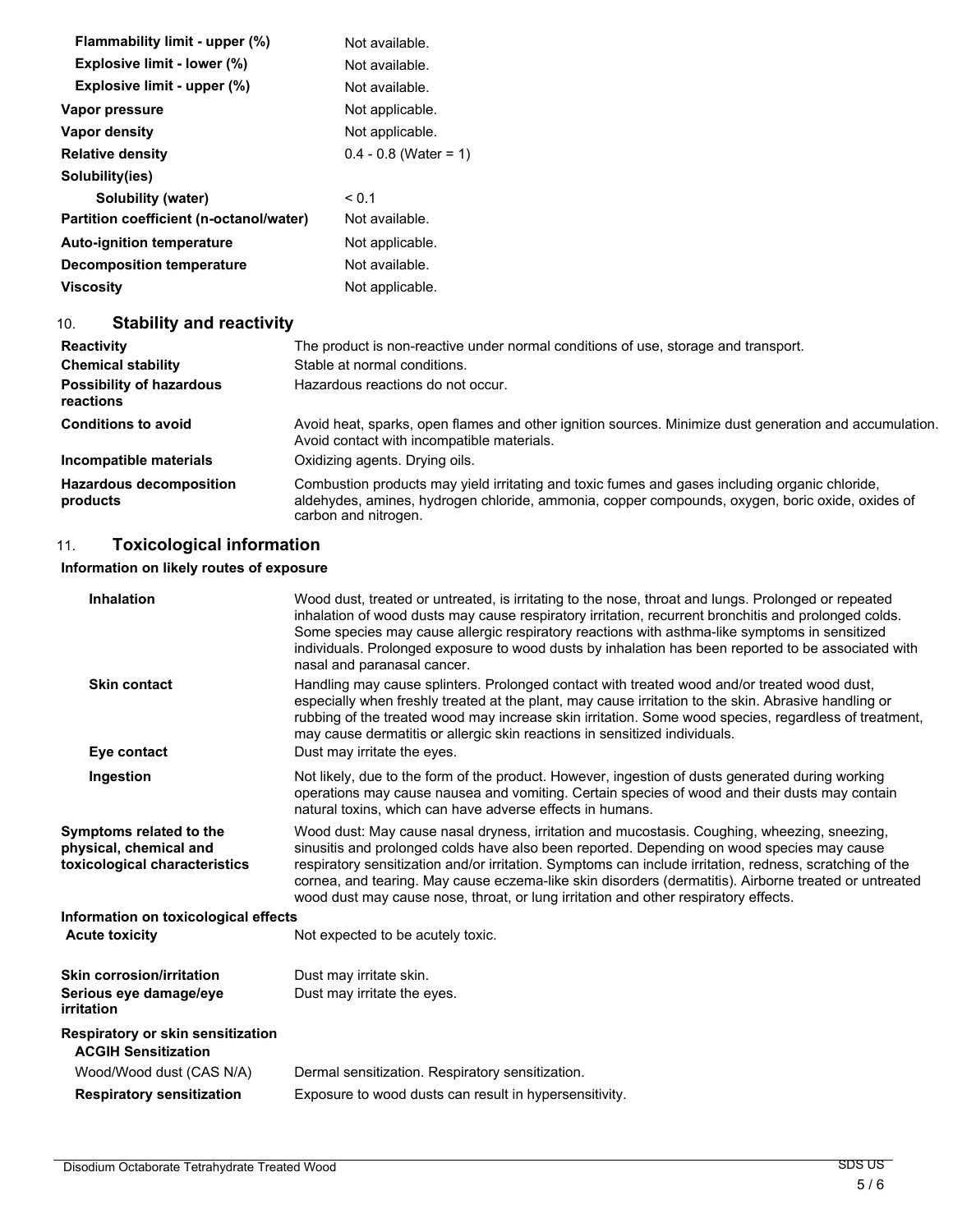| Flammability limit - upper (%)          | Not available.          |
|-----------------------------------------|-------------------------|
| <b>Explosive limit - lower (%)</b>      | Not available.          |
| Explosive limit - upper (%)             | Not available.          |
| Vapor pressure                          | Not applicable.         |
| Vapor density                           | Not applicable.         |
| <b>Relative density</b>                 | $0.4 - 0.8$ (Water = 1) |
| Solubility(ies)                         |                         |
| Solubility (water)                      | < 0.1                   |
| Partition coefficient (n-octanol/water) | Not available.          |
| <b>Auto-ignition temperature</b>        | Not applicable.         |
| <b>Decomposition temperature</b>        | Not available.          |
| Viscosity                               | Not applicable.         |

# 10. **Stability and reactivity**

| <b>Reactivity</b>                            | The product is non-reactive under normal conditions of use, storage and transport.                                                                                                                                        |
|----------------------------------------------|---------------------------------------------------------------------------------------------------------------------------------------------------------------------------------------------------------------------------|
| <b>Chemical stability</b>                    | Stable at normal conditions.                                                                                                                                                                                              |
| <b>Possibility of hazardous</b><br>reactions | Hazardous reactions do not occur.                                                                                                                                                                                         |
| <b>Conditions to avoid</b>                   | Avoid heat, sparks, open flames and other ignition sources. Minimize dust generation and accumulation.<br>Avoid contact with incompatible materials.                                                                      |
| Incompatible materials                       | Oxidizing agents. Drying oils.                                                                                                                                                                                            |
| <b>Hazardous decomposition</b><br>products   | Combustion products may yield irritating and toxic fumes and gases including organic chloride,<br>aldehydes, amines, hydrogen chloride, ammonia, copper compounds, oxygen, boric oxide, oxides of<br>carbon and nitrogen. |

# 11. **Toxicological information**

## **Information on likely routes of exposure**

| <b>Inhalation</b>                                                                  | Wood dust, treated or untreated, is irritating to the nose, throat and lungs. Prolonged or repeated<br>inhalation of wood dusts may cause respiratory irritation, recurrent bronchitis and prolonged colds.<br>Some species may cause allergic respiratory reactions with asthma-like symptoms in sensitized<br>individuals. Prolonged exposure to wood dusts by inhalation has been reported to be associated with<br>nasal and paranasal cancer.                                                     |
|------------------------------------------------------------------------------------|--------------------------------------------------------------------------------------------------------------------------------------------------------------------------------------------------------------------------------------------------------------------------------------------------------------------------------------------------------------------------------------------------------------------------------------------------------------------------------------------------------|
| <b>Skin contact</b>                                                                | Handling may cause splinters. Prolonged contact with treated wood and/or treated wood dust,<br>especially when freshly treated at the plant, may cause irritation to the skin. Abrasive handling or<br>rubbing of the treated wood may increase skin irritation. Some wood species, regardless of treatment,<br>may cause dermatitis or allergic skin reactions in sensitized individuals.                                                                                                             |
| Eye contact                                                                        | Dust may irritate the eyes.                                                                                                                                                                                                                                                                                                                                                                                                                                                                            |
| Ingestion                                                                          | Not likely, due to the form of the product. However, ingestion of dusts generated during working<br>operations may cause nausea and vomiting. Certain species of wood and their dusts may contain<br>natural toxins, which can have adverse effects in humans.                                                                                                                                                                                                                                         |
| Symptoms related to the<br>physical, chemical and<br>toxicological characteristics | Wood dust: May cause nasal dryness, irritation and mucostasis. Coughing, wheezing, sneezing,<br>sinusitis and prolonged colds have also been reported. Depending on wood species may cause<br>respiratory sensitization and/or irritation. Symptoms can include irritation, redness, scratching of the<br>cornea, and tearing. May cause eczema-like skin disorders (dermatitis). Airborne treated or untreated<br>wood dust may cause nose, throat, or lung irritation and other respiratory effects. |
| Information on toxicological effects                                               |                                                                                                                                                                                                                                                                                                                                                                                                                                                                                                        |
| <b>Acute toxicity</b>                                                              | Not expected to be acutely toxic.                                                                                                                                                                                                                                                                                                                                                                                                                                                                      |
| <b>Skin corrosion/irritation</b>                                                   | Dust may irritate skin.                                                                                                                                                                                                                                                                                                                                                                                                                                                                                |
| Serious eye damage/eye<br>irritation                                               | Dust may irritate the eyes.                                                                                                                                                                                                                                                                                                                                                                                                                                                                            |
| Respiratory or skin sensitization<br><b>ACGIH Sensitization</b>                    |                                                                                                                                                                                                                                                                                                                                                                                                                                                                                                        |
| Wood/Wood dust (CAS N/A)                                                           | Dermal sensitization. Respiratory sensitization.                                                                                                                                                                                                                                                                                                                                                                                                                                                       |
| <b>Respiratory sensitization</b>                                                   | Exposure to wood dusts can result in hypersensitivity.                                                                                                                                                                                                                                                                                                                                                                                                                                                 |
|                                                                                    |                                                                                                                                                                                                                                                                                                                                                                                                                                                                                                        |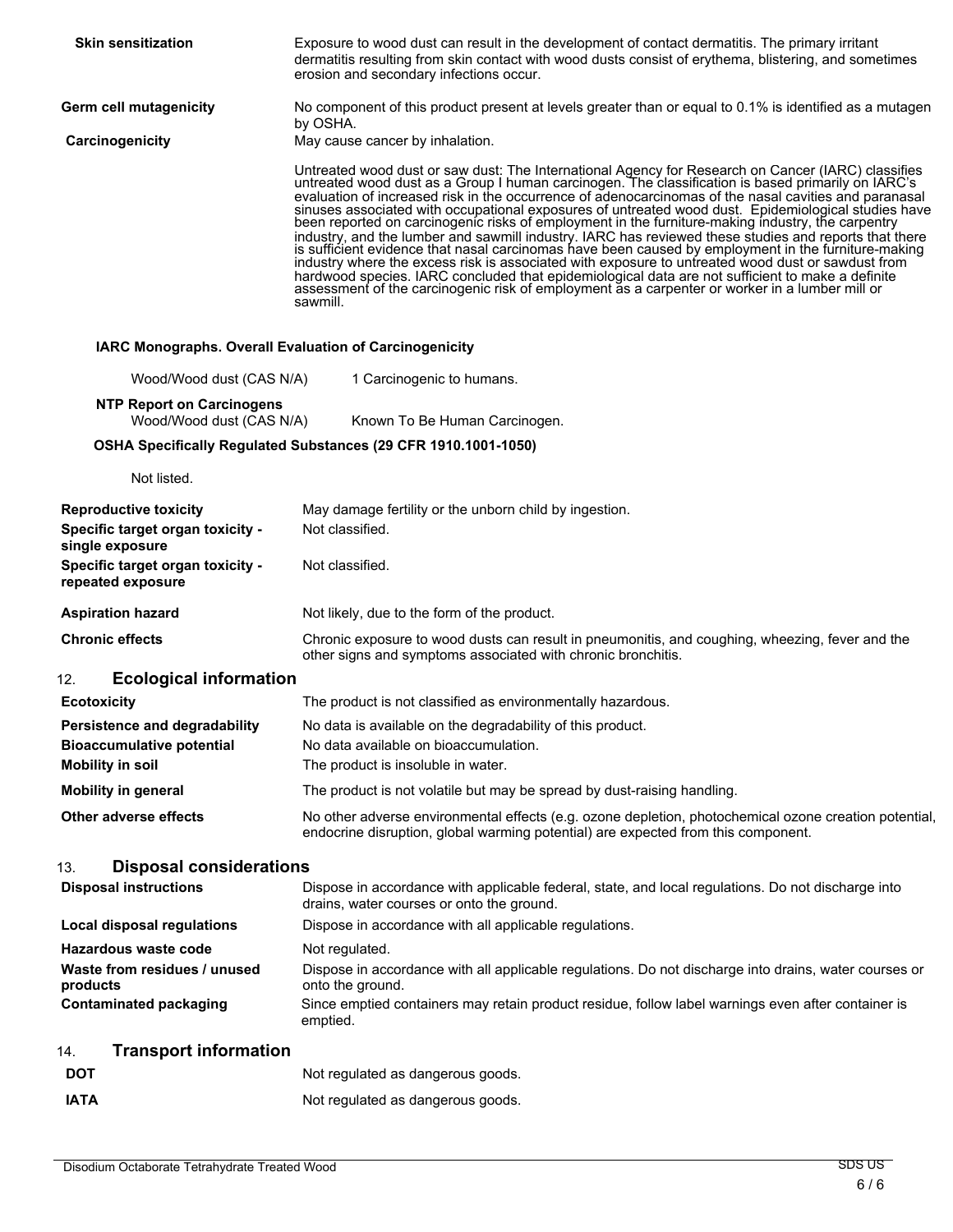| <b>Skin sensitization</b>                                                           | Exposure to wood dust can result in the development of contact dermatitis. The primary irritant<br>dermatitis resulting from skin contact with wood dusts consist of erythema, blistering, and sometimes<br>erosion and secondary infections occur.                                                                                                                                                                                                                                                                                                                                                                                                                                                                                                                                                                                                                                                                                                                                                                                                         |
|-------------------------------------------------------------------------------------|-------------------------------------------------------------------------------------------------------------------------------------------------------------------------------------------------------------------------------------------------------------------------------------------------------------------------------------------------------------------------------------------------------------------------------------------------------------------------------------------------------------------------------------------------------------------------------------------------------------------------------------------------------------------------------------------------------------------------------------------------------------------------------------------------------------------------------------------------------------------------------------------------------------------------------------------------------------------------------------------------------------------------------------------------------------|
| Germ cell mutagenicity                                                              | No component of this product present at levels greater than or equal to 0.1% is identified as a mutagen<br>by OSHA.                                                                                                                                                                                                                                                                                                                                                                                                                                                                                                                                                                                                                                                                                                                                                                                                                                                                                                                                         |
| Carcinogenicity                                                                     | May cause cancer by inhalation.                                                                                                                                                                                                                                                                                                                                                                                                                                                                                                                                                                                                                                                                                                                                                                                                                                                                                                                                                                                                                             |
|                                                                                     | Untreated wood dust or saw dust: The International Agency for Research on Cancer (IARC) classifies<br>untreated wood dust as a Group I human carcinogen. The classification is based primarily on IARC's<br>evaluation of increased risk in the occurrence of adenocarcinomas of the nasal cavities and paranasal<br>sinuses associated with occupational exposures of untreated wood dust. Epidemiological studies have been reported on carcinogenic risks of employment in the furniture-making industry, the carpentry<br>industry, and the lumber and sawmill industry. IARC has reviewed these studies and reports that there<br>is sufficient evidence that nasal carcinomas have been caused by employment in the furniture-making industry where the excess risk is associated with exposure to untreated wood dust or sawdust from<br>hardwood species. IARC concluded that epidemiological data are not sufficient to make a definite assessment of the carcinogenic risk of employment as a carpenter or worker in a lumber mill or<br>sawmill. |
| IARC Monographs. Overall Evaluation of Carcinogenicity                              |                                                                                                                                                                                                                                                                                                                                                                                                                                                                                                                                                                                                                                                                                                                                                                                                                                                                                                                                                                                                                                                             |
| Wood/Wood dust (CAS N/A)                                                            | 1 Carcinogenic to humans.                                                                                                                                                                                                                                                                                                                                                                                                                                                                                                                                                                                                                                                                                                                                                                                                                                                                                                                                                                                                                                   |
| <b>NTP Report on Carcinogens</b><br>Wood/Wood dust (CAS N/A)                        | Known To Be Human Carcinogen.                                                                                                                                                                                                                                                                                                                                                                                                                                                                                                                                                                                                                                                                                                                                                                                                                                                                                                                                                                                                                               |
|                                                                                     | OSHA Specifically Regulated Substances (29 CFR 1910.1001-1050)                                                                                                                                                                                                                                                                                                                                                                                                                                                                                                                                                                                                                                                                                                                                                                                                                                                                                                                                                                                              |
| Not listed.                                                                         |                                                                                                                                                                                                                                                                                                                                                                                                                                                                                                                                                                                                                                                                                                                                                                                                                                                                                                                                                                                                                                                             |
| <b>Reproductive toxicity</b><br>Specific target organ toxicity -<br>single exposure | May damage fertility or the unborn child by ingestion.<br>Not classified.                                                                                                                                                                                                                                                                                                                                                                                                                                                                                                                                                                                                                                                                                                                                                                                                                                                                                                                                                                                   |
| Specific target organ toxicity -<br>repeated exposure                               | Not classified.                                                                                                                                                                                                                                                                                                                                                                                                                                                                                                                                                                                                                                                                                                                                                                                                                                                                                                                                                                                                                                             |
| <b>Aspiration hazard</b>                                                            | Not likely, due to the form of the product.                                                                                                                                                                                                                                                                                                                                                                                                                                                                                                                                                                                                                                                                                                                                                                                                                                                                                                                                                                                                                 |
| <b>Chronic effects</b>                                                              | Chronic exposure to wood dusts can result in pneumonitis, and coughing, wheezing, fever and the<br>other signs and symptoms associated with chronic bronchitis.                                                                                                                                                                                                                                                                                                                                                                                                                                                                                                                                                                                                                                                                                                                                                                                                                                                                                             |
| <b>Ecological information</b><br>12.                                                |                                                                                                                                                                                                                                                                                                                                                                                                                                                                                                                                                                                                                                                                                                                                                                                                                                                                                                                                                                                                                                                             |
| <b>Ecotoxicity</b>                                                                  | The product is not classified as environmentally hazardous.                                                                                                                                                                                                                                                                                                                                                                                                                                                                                                                                                                                                                                                                                                                                                                                                                                                                                                                                                                                                 |
| Persistence and degradability                                                       | No data is available on the degradability of this product.                                                                                                                                                                                                                                                                                                                                                                                                                                                                                                                                                                                                                                                                                                                                                                                                                                                                                                                                                                                                  |
| <b>Bioaccumulative potential</b><br><b>Mobility in soil</b>                         | No data available on bioaccumulation.<br>The product is insoluble in water.                                                                                                                                                                                                                                                                                                                                                                                                                                                                                                                                                                                                                                                                                                                                                                                                                                                                                                                                                                                 |
| <b>Mobility in general</b>                                                          | The product is not volatile but may be spread by dust-raising handling.                                                                                                                                                                                                                                                                                                                                                                                                                                                                                                                                                                                                                                                                                                                                                                                                                                                                                                                                                                                     |
| <b>Other adverse effects</b>                                                        | No other adverse environmental effects (e.g. ozone depletion, photochemical ozone creation potential,<br>endocrine disruption, global warming potential) are expected from this component.                                                                                                                                                                                                                                                                                                                                                                                                                                                                                                                                                                                                                                                                                                                                                                                                                                                                  |
| <b>Disposal considerations</b><br>13.                                               |                                                                                                                                                                                                                                                                                                                                                                                                                                                                                                                                                                                                                                                                                                                                                                                                                                                                                                                                                                                                                                                             |
| <b>Disposal instructions</b>                                                        | Dispose in accordance with applicable federal, state, and local regulations. Do not discharge into<br>drains, water courses or onto the ground.                                                                                                                                                                                                                                                                                                                                                                                                                                                                                                                                                                                                                                                                                                                                                                                                                                                                                                             |
| Local disposal regulations                                                          | Dispose in accordance with all applicable regulations.                                                                                                                                                                                                                                                                                                                                                                                                                                                                                                                                                                                                                                                                                                                                                                                                                                                                                                                                                                                                      |
| <b>Hazardous waste code</b>                                                         | Not regulated.                                                                                                                                                                                                                                                                                                                                                                                                                                                                                                                                                                                                                                                                                                                                                                                                                                                                                                                                                                                                                                              |
| Waste from residues / unused<br>products                                            | Dispose in accordance with all applicable regulations. Do not discharge into drains, water courses or<br>onto the ground.                                                                                                                                                                                                                                                                                                                                                                                                                                                                                                                                                                                                                                                                                                                                                                                                                                                                                                                                   |
| <b>Contaminated packaging</b>                                                       | Since emptied containers may retain product residue, follow label warnings even after container is<br>emptied.                                                                                                                                                                                                                                                                                                                                                                                                                                                                                                                                                                                                                                                                                                                                                                                                                                                                                                                                              |
| <b>Transport information</b><br>14.                                                 |                                                                                                                                                                                                                                                                                                                                                                                                                                                                                                                                                                                                                                                                                                                                                                                                                                                                                                                                                                                                                                                             |
| <b>DOT</b>                                                                          | Not regulated as dangerous goods.                                                                                                                                                                                                                                                                                                                                                                                                                                                                                                                                                                                                                                                                                                                                                                                                                                                                                                                                                                                                                           |
| <b>IATA</b>                                                                         | Not regulated as dangerous goods.                                                                                                                                                                                                                                                                                                                                                                                                                                                                                                                                                                                                                                                                                                                                                                                                                                                                                                                                                                                                                           |
|                                                                                     |                                                                                                                                                                                                                                                                                                                                                                                                                                                                                                                                                                                                                                                                                                                                                                                                                                                                                                                                                                                                                                                             |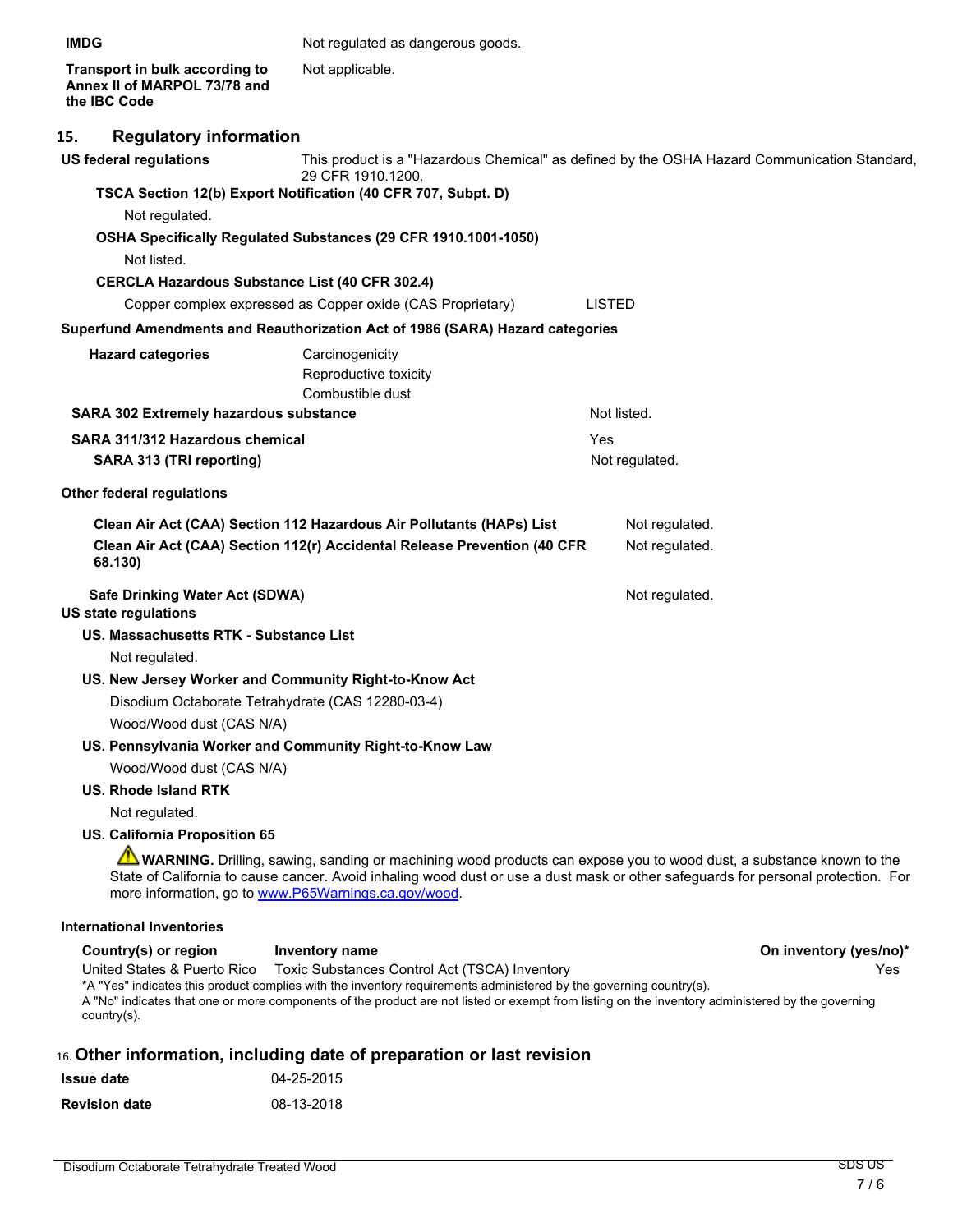**Transport in bulk according to Annex II of MARPOL 73/78 and the IBC Code** Not applicable.

#### **15. Regulatory information**

| <b>US federal regulations</b>                                 | This product is a "Hazardous Chemical" as defined by the OSHA Hazard Communication Standard,<br>29 CFR 1910.1200.                                                                                                                                                                                                       |               |                |                        |
|---------------------------------------------------------------|-------------------------------------------------------------------------------------------------------------------------------------------------------------------------------------------------------------------------------------------------------------------------------------------------------------------------|---------------|----------------|------------------------|
|                                                               | TSCA Section 12(b) Export Notification (40 CFR 707, Subpt. D)                                                                                                                                                                                                                                                           |               |                |                        |
| Not regulated.                                                |                                                                                                                                                                                                                                                                                                                         |               |                |                        |
|                                                               | OSHA Specifically Regulated Substances (29 CFR 1910.1001-1050)                                                                                                                                                                                                                                                          |               |                |                        |
| Not listed.                                                   |                                                                                                                                                                                                                                                                                                                         |               |                |                        |
|                                                               | <b>CERCLA Hazardous Substance List (40 CFR 302.4)</b>                                                                                                                                                                                                                                                                   |               |                |                        |
|                                                               | Copper complex expressed as Copper oxide (CAS Proprietary)                                                                                                                                                                                                                                                              | <b>LISTED</b> |                |                        |
|                                                               | Superfund Amendments and Reauthorization Act of 1986 (SARA) Hazard categories                                                                                                                                                                                                                                           |               |                |                        |
| <b>Hazard categories</b>                                      | Carcinogenicity<br>Reproductive toxicity<br>Combustible dust                                                                                                                                                                                                                                                            |               |                |                        |
| <b>SARA 302 Extremely hazardous substance</b>                 |                                                                                                                                                                                                                                                                                                                         |               | Not listed.    |                        |
| SARA 311/312 Hazardous chemical                               |                                                                                                                                                                                                                                                                                                                         | Yes           |                |                        |
| SARA 313 (TRI reporting)                                      |                                                                                                                                                                                                                                                                                                                         |               | Not regulated. |                        |
| <b>Other federal regulations</b>                              |                                                                                                                                                                                                                                                                                                                         |               |                |                        |
|                                                               | Clean Air Act (CAA) Section 112 Hazardous Air Pollutants (HAPs) List                                                                                                                                                                                                                                                    |               | Not regulated. |                        |
| 68.130)                                                       | Clean Air Act (CAA) Section 112(r) Accidental Release Prevention (40 CFR                                                                                                                                                                                                                                                |               | Not regulated. |                        |
| Safe Drinking Water Act (SDWA)<br><b>US state regulations</b> |                                                                                                                                                                                                                                                                                                                         |               | Not regulated. |                        |
| <b>US. Massachusetts RTK - Substance List</b>                 |                                                                                                                                                                                                                                                                                                                         |               |                |                        |
| Not regulated.                                                |                                                                                                                                                                                                                                                                                                                         |               |                |                        |
|                                                               | US. New Jersey Worker and Community Right-to-Know Act                                                                                                                                                                                                                                                                   |               |                |                        |
|                                                               | Disodium Octaborate Tetrahydrate (CAS 12280-03-4)                                                                                                                                                                                                                                                                       |               |                |                        |
| Wood/Wood dust (CAS N/A)                                      |                                                                                                                                                                                                                                                                                                                         |               |                |                        |
|                                                               | US. Pennsylvania Worker and Community Right-to-Know Law                                                                                                                                                                                                                                                                 |               |                |                        |
| Wood/Wood dust (CAS N/A)                                      |                                                                                                                                                                                                                                                                                                                         |               |                |                        |
| US. Rhode Island RTK                                          |                                                                                                                                                                                                                                                                                                                         |               |                |                        |
| Not regulated.                                                |                                                                                                                                                                                                                                                                                                                         |               |                |                        |
| <b>US. California Proposition 65</b>                          |                                                                                                                                                                                                                                                                                                                         |               |                |                        |
|                                                               | WARNING. Drilling, sawing, sanding or machining wood products can expose you to wood dust, a substance known to the<br>State of California to cause cancer. Avoid inhaling wood dust or use a dust mask or other safeguards for personal protection. For<br>more information, go to www.P65Warnings.ca.gov/wood.        |               |                |                        |
| <b>International Inventories</b>                              |                                                                                                                                                                                                                                                                                                                         |               |                |                        |
| Country(s) or region                                          | <b>Inventory name</b>                                                                                                                                                                                                                                                                                                   |               |                | On inventory (yes/no)* |
| United States & Puerto Rico<br>$country(s)$ .                 | Toxic Substances Control Act (TSCA) Inventory<br>*A "Yes" indicates this product complies with the inventory requirements administered by the governing country(s).<br>A "No" indicates that one or more components of the product are not listed or exempt from listing on the inventory administered by the governing |               |                | Yes                    |

### 16. **Other information, including date of preparation or last revision**

| <b>Issue date</b>    | 04-25-2015 |
|----------------------|------------|
| <b>Revision date</b> | 08-13-2018 |